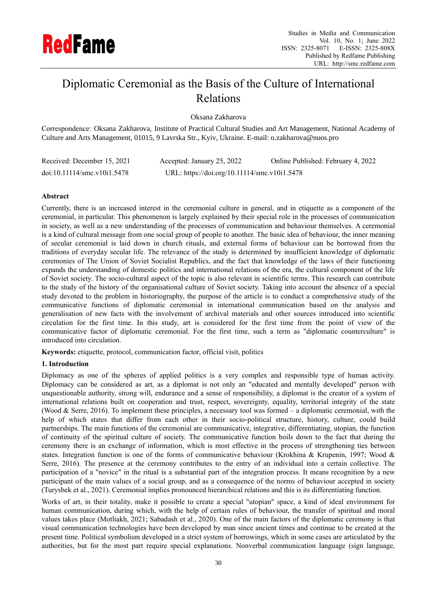

# Diplomatic Ceremonial as the Basis of the Culture of International Relations

Oksana Zakharova

Correspondence: Oksana Zakharova, Institute of Practical Cultural Studies and Art Management, National Academy of Culture and Arts Management, 01015, 9 Lavrska Str., Kyiv, Ukraine. E-mail: o.zakharova@nuos.pro

| Received: December 15, 2021 | Accepted: January 25, 2022                   | Online Published: February 4, 2022 |
|-----------------------------|----------------------------------------------|------------------------------------|
| doi:10.11114/smc.v10i1.5478 | URL: https://doi.org/10.11114/smc.v10i1.5478 |                                    |

# **Abstract**

Currently, there is an increased interest in the ceremonial culture in general, and in etiquette as a component of the ceremonial, in particular. This phenomenon is largely explained by their special role in the processes of communication in society, as well as a new understanding of the processes of communication and behaviour themselves. A ceremonial is a kind of cultural message from one social group of people to another. The basic idea of behaviour, the inner meaning of secular ceremonial is laid down in church rituals, and external forms of behaviour can be borrowed from the traditions of everyday secular life. The relevance of the study is determined by insufficient knowledge of diplomatic ceremonies of The Union of Soviet Socialist Republics, and the fact that knowledge of the laws of their functioning expands the understanding of domestic politics and international relations of the era, the cultural component of the life of Soviet society. The socio-cultural aspect of the topic is also relevant in scientific terms. This research can contribute to the study of the history of the organisational culture of Soviet society. Taking into account the absence of a special study devoted to the problem in historiography, the purpose of the article is to conduct a comprehensive study of the communicative functions of diplomatic ceremonial in international communication based on the analysis and generalisation of new facts with the involvement of archival materials and other sources introduced into scientific circulation for the first time. In this study, art is considered for the first time from the point of view of the communicative factor of diplomatic ceremonial. For the first time, such a term as "diplomatic counterculture" is introduced into circulation.

**Keywords:** etiquette, protocol, communication factor, official visit, politics

# **1. Introduction**

Diplomacy as one of the spheres of applied politics is a very complex and responsible type of human activity. Diplomacy can be considered as art, as a diplomat is not only an "educated and mentally developed" person with unquestionable authority, strong will, endurance and a sense of responsibility, a diplomat is the creator of a system of international relations built on cooperation and trust, respect, sovereignty, equality, territorial integrity of the state (Wood & Serre, 2016). To implement these principles, a necessary tool was formed – a diplomatic ceremonial, with the help of which states that differ from each other in their socio-political structure, history, culture, could build partnerships. The main functions of the ceremonial are communicative, integrative, differentiating, utopian, the function of continuity of the spiritual culture of society. The communicative function boils down to the fact that during the ceremony there is an exchange of information, which is most effective in the process of strengthening ties between states. Integration function is one of the forms of communicative behaviour (Krokhina & Krupenin, 1997; Wood & Serre, 2016). The presence at the ceremony contributes to the entry of an individual into a certain collective. The participation of a "novice" in the ritual is a substantial part of the integration process. It means recognition by a new participant of the main values of a social group, and as a consequence of the norms of behaviour accepted in society (Turysbek et al., 2021). Ceremonial implies pronounced hierarchical relations and this is its differentiating function.

Works of art, in their totality, make it possible to create a special "utopian" space, a kind of ideal environment for human communication, during which, with the help of certain rules of behaviour, the transfer of spiritual and moral values takes place (Motliakh, 2021; Sabadash et al., 2020). One of the main factors of the diplomatic ceremony is that visual communication technologies have been developed by man since ancient times and continue to be created at the present time. Political symbolism developed in a strict system of borrowings, which in some cases are articulated by the authorities, but for the most part require special explanations. Nonverbal communication language (sign language,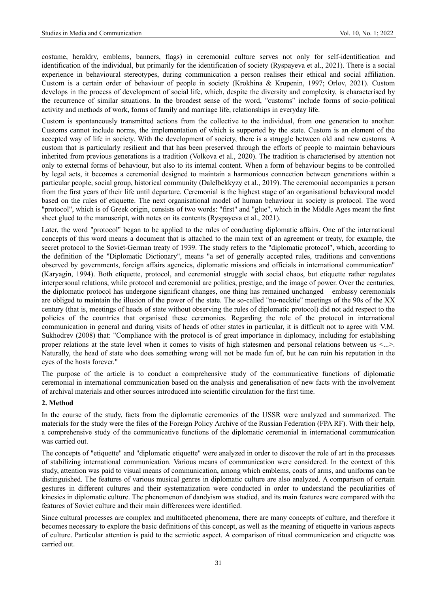costume, heraldry, emblems, banners, flags) in ceremonial culture serves not only for self-identification and identification of the individual, but primarily for the identification of society (Ryspayeva et al., 2021). There is a social experience in behavioural stereotypes, during communication a person realises their ethical and social affiliation. Custom is a certain order of behaviour of people in society (Krokhina & Krupenin, 1997; Orlov, 2021). Custom develops in the process of development of social life, which, despite the diversity and complexity, is characterised by the recurrence of similar situations. In the broadest sense of the word, "customs" include forms of socio-political activity and methods of work, forms of family and marriage life, relationships in everyday life.

Custom is spontaneously transmitted actions from the collective to the individual, from one generation to another. Customs cannot include norms, the implementation of which is supported by the state. Custom is an element of the accepted way of life in society. With the development of society, there is a struggle between old and new customs. A custom that is particularly resilient and that has been preserved through the efforts of people to maintain behaviours inherited from previous generations is a tradition (Volkova et al., 2020). The tradition is characterised by attention not only to external forms of behaviour, but also to its internal content. When a form of behaviour begins to be controlled by legal acts, it becomes a ceremonial designed to maintain a harmonious connection between generations within a particular people, social group, historical community (Dalelbekkyzy et al., 2019). The ceremonial accompanies a person from the first years of their life until departure. Ceremonial is the highest stage of an organisational behavioural model based on the rules of etiquette. The next organisational model of human behaviour in society is protocol. The word "protocol", which is of Greek origin, consists of two words: "first" and "glue", which in the Middle Ages meant the first sheet glued to the manuscript, with notes on its contents (Ryspayeva et al., 2021).

Later, the word "protocol" began to be applied to the rules of conducting diplomatic affairs. One of the international concepts of this word means a document that is attached to the main text of an agreement or treaty, for example, the secret protocol to the Soviet-German treaty of 1939. The study refers to the "diplomatic protocol", which, according to the definition of the "Diplomatic Dictionary", means "a set of generally accepted rules, traditions and conventions observed by governments, foreign affairs agencies, diplomatic missions and officials in international communication" (Karyagin, 1994). Both etiquette, protocol, and ceremonial struggle with social chaos, but etiquette rather regulates interpersonal relations, while protocol and ceremonial are politics, prestige, and the image of power. Over the centuries, the diplomatic protocol has undergone significant changes, one thing has remained unchanged – embassy ceremonials are obliged to maintain the illusion of the power of the state. The so-called "no-necktie" meetings of the 90s of the XX century (that is, meetings of heads of state without observing the rules of diplomatic protocol) did not add respect to the policies of the countries that organised these ceremonies. Regarding the role of the protocol in international communication in general and during visits of heads of other states in particular, it is difficult not to agree with V.M. Sukhodrev (2008) that: "Compliance with the protocol is of great importance in diplomacy, including for establishing proper relations at the state level when it comes to visits of high statesmen and personal relations between us <...>. Naturally, the head of state who does something wrong will not be made fun of, but he can ruin his reputation in the eyes of the hosts forever."

The purpose of the article is to conduct a comprehensive study of the communicative functions of diplomatic ceremonial in international communication based on the analysis and generalisation of new facts with the involvement of archival materials and other sources introduced into scientific circulation for the first time.

## **2. Method**

In the course of the study, facts from the diplomatic ceremonies of the USSR were analyzed and summarized. The materials for the study were the files of the Foreign Policy Archive of the Russian Federation (FPA RF). With their help, a comprehensive study of the communicative functions of the diplomatic ceremonial in international communication was carried out.

The concepts of "etiquette" and "diplomatic etiquette" were analyzed in order to discover the role of art in the processes of stabilizing international communication. Various means of communication were considered. In the context of this study, attention was paid to visual means of communication, among which emblems, coats of arms, and uniforms can be distinguished. The features of various musical genres in diplomatic culture are also analyzed. A comparison of certain gestures in different cultures and their systematization were conducted in order to understand the peculiarities of kinesics in diplomatic culture. The phenomenon of dandyism was studied, and its main features were compared with the features of Soviet culture and their main differences were identified.

Since cultural processes are complex and multifaceted phenomena, there are many concepts of culture, and therefore it becomes necessary to explore the basic definitions of this concept, as well as the meaning of etiquette in various aspects of culture. Particular attention is paid to the semiotic aspect. A comparison of ritual communication and etiquette was carried out.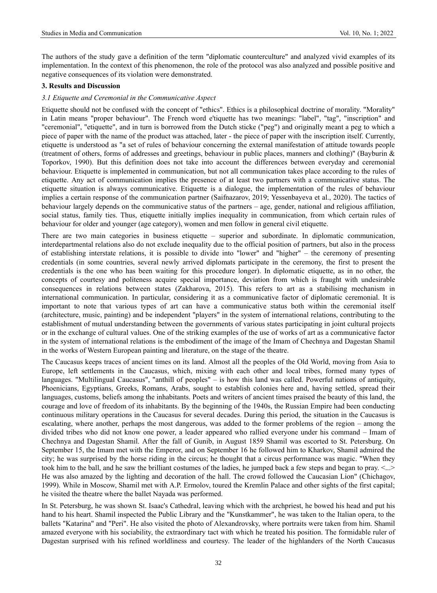The authors of the study gave a definition of the term "diplomatic counterculture" and analyzed vivid examples of its implementation. In the context of this phenomenon, the role of the protocol was also analyzed and possible positive and negative consequences of its violation were demonstrated.

## **3. Results and Discussion**

#### *3.1 Etiquette and Ceremonial in the Communicative Aspect*

Etiquette should not be confused with the concept of "ethics". Ethics is a philosophical doctrine of morality. "Morality" in Latin means "proper behaviour". The French word e'tiquette has two meanings: "label", "tag", "inscription" and "ceremonial", "etiquette", and in turn is borrowed from the Dutch sticke ("peg") and originally meant a peg to which a piece of paper with the name of the product was attached, later - the piece of paper with the inscription itself. Currently, etiquette is understood as "a set of rules of behaviour concerning the external manifestation of attitude towards people (treatment of others, forms of addresses and greetings, behaviour in public places, manners and clothing)" (Bayburin & Toporkov, 1990). But this definition does not take into account the differences between everyday and ceremonial behaviour. Etiquette is implemented in communication, but not all communication takes place according to the rules of etiquette. Any act of communication implies the presence of at least two partners with a communicative status. The etiquette situation is always communicative. Etiquette is a dialogue, the implementation of the rules of behaviour implies a certain response of the communication partner (Saifnazarov, 2019; Yessenbayeva et al., 2020). The tactics of behaviour largely depends on the communicative status of the partners – age, gender, national and religious affiliation, social status, family ties. Thus, etiquette initially implies inequality in communication, from which certain rules of behaviour for older and younger (age category), women and men follow in general civil etiquette.

There are two main categories in business etiquette – superior and subordinate. In diplomatic communication, interdepartmental relations also do not exclude inequality due to the official position of partners, but also in the process of establishing interstate relations, it is possible to divide into "lower" and "higher" – the ceremony of presenting credentials (in some countries, several newly arrived diplomats participate in the ceremony, the first to present the credentials is the one who has been waiting for this procedure longer). In diplomatic etiquette, as in no other, the concepts of courtesy and politeness acquire special importance, deviation from which is fraught with undesirable consequences in relations between states (Zakharova, 2015). This refers to art as a stabilising mechanism in international communication. In particular, considering it as a communicative factor of diplomatic ceremonial. It is important to note that various types of art can have a communicative status both within the ceremonial itself (architecture, music, painting) and be independent "players" in the system of international relations, contributing to the establishment of mutual understanding between the governments of various states participating in joint cultural projects or in the exchange of cultural values. One of the striking examples of the use of works of art as a communicative factor in the system of international relations is the embodiment of the image of the Imam of Chechnya and Dagestan Shamil in the works of Western European painting and literature, on the stage of the theatre.

The Caucasus keeps traces of ancient times on its land. Almost all the peoples of the Old World, moving from Asia to Europe, left settlements in the Caucasus, which, mixing with each other and local tribes, formed many types of languages. "Multilingual Caucasus", "anthill of peoples" – is how this land was called. Powerful nations of antiquity, Phoenicians, Egyptians, Greeks, Romans, Arabs, sought to establish colonies here and, having settled, spread their languages, customs, beliefs among the inhabitants. Poets and writers of ancient times praised the beauty of this land, the courage and love of freedom of its inhabitants. By the beginning of the 1940s, the Russian Empire had been conducting continuous military operations in the Caucasus for several decades. During this period, the situation in the Caucasus is escalating, where another, perhaps the most dangerous, was added to the former problems of the region – among the divided tribes who did not know one power, a leader appeared who rallied everyone under his command – Imam of Chechnya and Dagestan Shamil. After the fall of Gunib, in August 1859 Shamil was escorted to St. Petersburg. On September 15, the Imam met with the Emperor, and on September 16 he followed him to Kharkov, Shamil admired the city; he was surprised by the horse riding in the circus; he thought that a circus performance was magic. "When they took him to the ball, and he saw the brilliant costumes of the ladies, he jumped back a few steps and began to pray. <...> He was also amazed by the lighting and decoration of the hall. The crowd followed the Caucasian Lion" (Chichagov, 1999). While in Moscow, Shamil met with A.P. Ermolov, toured the Kremlin Palace and other sights of the first capital; he visited the theatre where the ballet Nayada was performed.

In St. Petersburg, he was shown St. Isaac's Cathedral, leaving which with the archpriest, he bowed his head and put his hand to his heart. Shamil inspected the Public Library and the "Kunstkammer", he was taken to the Italian opera, to the ballets "Katarina" and "Peri". He also visited the photo of Alexandrovsky, where portraits were taken from him. Shamil amazed everyone with his sociability, the extraordinary tact with which he treated his position. The formidable ruler of Dagestan surprised with his refined worldliness and courtesy. The leader of the highlanders of the North Caucasus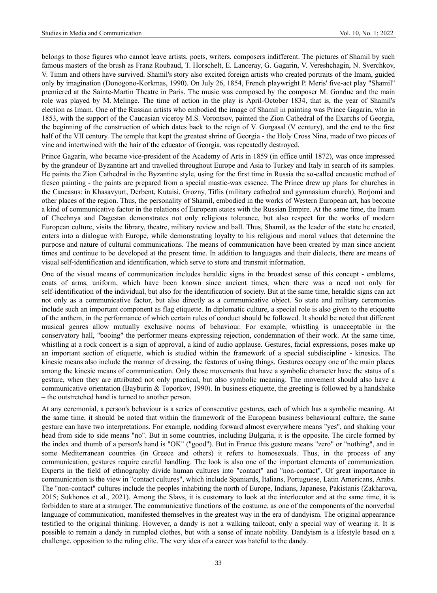belongs to those figures who cannot leave artists, poets, writers, composers indifferent. The pictures of Shamil by such famous masters of the brush as Franz Roubaud, T. Horschelt, E. Lanceray, G. Gagarin, V. Vereshchagin, N. Sverchkov, V. Timm and others have survived. Shamil's story also excited foreign artists who created portraits of the Imam, guided only by imagination (Donogono-Korkmas, 1990). On July 26, 1854, French playwright P. Meris' five-act play "Shamil" premiered at the Sainte-Martin Theatre in Paris. The music was composed by the composer M. Gondue and the main role was played by M. Melinge. The time of action in the play is April-October 1834, that is, the year of Shamil's election as Imam. One of the Russian artists who embodied the image of Shamil in painting was Prince Gagarin, who in 1853, with the support of the Caucasian viceroy M.S. Vorontsov, painted the Zion Cathedral of the Exarchs of Georgia, the beginning of the construction of which dates back to the reign of V. Gorgasal (V century), and the end to the first half of the VII century. The temple that kept the greatest shrine of Georgia - the Holy Cross Nina, made of two pieces of vine and intertwined with the hair of the educator of Georgia, was repeatedly destroyed.

Prince Gagarin, who became vice-president of the Academy of Arts in 1859 (in office until 1872), was once impressed by the grandeur of Byzantine art and travelled throughout Europe and Asia to Turkey and Italy in search of its samples. He paints the Zion Cathedral in the Byzantine style, using for the first time in Russia the so-called encaustic method of fresco painting - the paints are prepared from a special mastic-wax essence. The Prince drew up plans for churches in the Caucasus: in Khasavyurt, Derbent, Kutaisi, Grozny, Tiflis (military cathedral and gymnasium church), Borjomi and other places of the region. Thus, the personality of Shamil, embodied in the works of Western European art, has become a kind of communicative factor in the relations of European states with the Russian Empire. At the same time, the Imam of Chechnya and Dagestan demonstrates not only religious tolerance, but also respect for the works of modern European culture, visits the library, theatre, military review and ball. Thus, Shamil, as the leader of the state he created, enters into a dialogue with Europe, while demonstrating loyalty to his religious and moral values that determine the purpose and nature of cultural communications. The means of communication have been created by man since ancient times and continue to be developed at the present time. In addition to languages and their dialects, there are means of visual self-identification and identification, which serve to store and transmit information.

One of the visual means of communication includes heraldic signs in the broadest sense of this concept - emblems, coats of arms, uniform, which have been known since ancient times, when there was a need not only for self-identification of the individual, but also for the identification of society. But at the same time, heraldic signs can act not only as a communicative factor, but also directly as a communicative object. So state and military ceremonies include such an important component as flag etiquette. In diplomatic culture, a special role is also given to the etiquette of the anthem, in the performance of which certain rules of conduct should be followed. It should be noted that different musical genres allow mutually exclusive norms of behaviour. For example, whistling is unacceptable in the conservatory hall, "booing" the performer means expressing rejection, condemnation of their work. At the same time, whistling at a rock concert is a sign of approval, a kind of audio applause. Gestures, facial expressions, poses make up an important section of etiquette, which is studied within the framework of a special subdiscipline - kinesics. The kinesic means also include the manner of dressing, the features of using things. Gestures occupy one of the main places among the kinesic means of communication. Only those movements that have a symbolic character have the status of a gesture, when they are attributed not only practical, but also symbolic meaning. The movement should also have a communicative orientation (Bayburin & Toporkov, 1990). In business etiquette, the greeting is followed by a handshake – the outstretched hand is turned to another person.

At any ceremonial, a person's behaviour is a series of consecutive gestures, each of which has a symbolic meaning. At the same time, it should be noted that within the framework of the European business behavioural culture, the same gesture can have two interpretations. For example, nodding forward almost everywhere means "yes", and shaking your head from side to side means "no". But in some countries, including Bulgaria, it is the opposite. The circle formed by the index and thumb of a person's hand is "OK" ("good"). But in France this gesture means "zero" or "nothing", and in some Mediterranean countries (in Greece and others) it refers to homosexuals. Thus, in the process of any communication, gestures require careful handling. The look is also one of the important elements of communication. Experts in the field of ethnography divide human cultures into "contact" and "non-contact". Of great importance in communication is the view in "contact cultures", which include Spaniards, Italians, Portuguese, Latin Americans, Arabs. The "non-contact" cultures include the peoples inhabiting the north of Europe, Indians, Japanese, Pakistanis (Zakharova, 2015; Sukhonos et al., 2021). Among the Slavs, it is customary to look at the interlocutor and at the same time, it is forbidden to stare at a stranger. The communicative functions of the costume, as one of the components of the nonverbal language of communication, manifested themselves in the greatest way in the era of dandyism. The original appearance testified to the original thinking. However, a dandy is not a walking tailcoat, only a special way of wearing it. It is possible to remain a dandy in rumpled clothes, but with a sense of innate nobility. Dandyism is a lifestyle based on a challenge, opposition to the ruling elite. The very idea of a career was hateful to the dandy.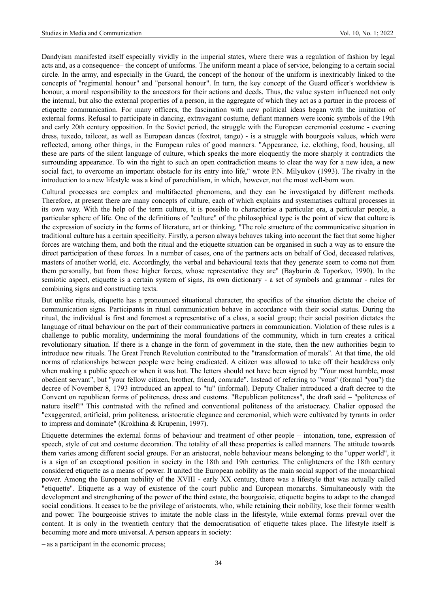Dandyism manifested itself especially vividly in the imperial states, where there was a regulation of fashion by legal acts and, as a consequence– the concept of uniforms. The uniform meant a place of service, belonging to a certain social circle. In the army, and especially in the Guard, the concept of the honour of the uniform is inextricably linked to the concepts of "regimental honour" and "personal honour". In turn, the key concept of the Guard officer's worldview is honour, a moral responsibility to the ancestors for their actions and deeds. Thus, the value system influenced not only the internal, but also the external properties of a person, in the aggregate of which they act as a partner in the process of etiquette communication. For many officers, the fascination with new political ideas began with the imitation of external forms. Refusal to participate in dancing, extravagant costume, defiant manners were iconic symbols of the 19th and early 20th century opposition. In the Soviet period, the struggle with the European ceremonial costume - evening dress, tuxedo, tailcoat, as well as European dances (foxtrot, tango) - is a struggle with bourgeois values, which were reflected, among other things, in the European rules of good manners. "Appearance, i.e. clothing, food, housing, all these are parts of the silent language of culture, which speaks the more eloquently the more sharply it contradicts the surrounding appearance. To win the right to such an open contradiction means to clear the way for a new idea, a new social fact, to overcome an important obstacle for its entry into life," wrote P.N. Milyukov (1993). The rivalry in the introduction to a new lifestyle was a kind of parochialism, in which, however, not the most well-born won.

Cultural processes are complex and multifaceted phenomena, and they can be investigated by different methods. Therefore, at present there are many concepts of culture, each of which explains and systematises cultural processes in its own way. With the help of the term culture, it is possible to characterise a particular era, a particular people, a particular sphere of life. One of the definitions of "culture" of the philosophical type is the point of view that culture is the expression of society in the forms of literature, art or thinking. "The role structure of the communicative situation in traditional culture has a certain specificity. Firstly, a person always behaves taking into account the fact that some higher forces are watching them, and both the ritual and the etiquette situation can be organised in such a way as to ensure the direct participation of these forces. In a number of cases, one of the partners acts on behalf of God, deceased relatives, masters of another world, etc. Accordingly, the verbal and behavioural texts that they generate seem to come not from them personally, but from those higher forces, whose representative they are" (Bayburin & Toporkov, 1990). In the semiotic aspect, etiquette is a certain system of signs, its own dictionary - a set of symbols and grammar - rules for combining signs and constructing texts.

But unlike rituals, etiquette has a pronounced situational character, the specifics of the situation dictate the choice of communication signs. Participants in ritual communication behave in accordance with their social status. During the ritual, the individual is first and foremost a representative of a class, a social group; their social position dictates the language of ritual behaviour on the part of their communicative partners in communication. Violation of these rules is a challenge to public morality, undermining the moral foundations of the community, which in turn creates a critical revolutionary situation. If there is a change in the form of government in the state, then the new authorities begin to introduce new rituals. The Great French Revolution contributed to the "transformation of morals". At that time, the old norms of relationships between people were being eradicated. A citizen was allowed to take off their headdress only when making a public speech or when it was hot. The letters should not have been signed by "Your most humble, most obedient servant", but "your fellow citizen, brother, friend, comrade". Instead of referring to "vous" (formal "you") the decree of November 8, 1793 introduced an appeal to "tu" (informal). Deputy Chalier introduced a draft decree to the Convent on republican forms of politeness, dress and customs. "Republican politeness", the draft said – "politeness of nature itself!" This contrasted with the refined and conventional politeness of the aristocracy. Chalier opposed the "exaggerated, artificial, prim politeness, aristocratic elegance and ceremonial, which were cultivated by tyrants in order to impress and dominate" (Krokhina & Krupenin, 1997).

Etiquette determines the external forms of behaviour and treatment of other people – intonation, tone, expression of speech, style of cut and costume decoration. The totality of all these properties is called manners. The attitude towards them varies among different social groups. For an aristocrat, noble behaviour means belonging to the "upper world", it is a sign of an exceptional position in society in the 18th and 19th centuries. The enlighteners of the 18th century considered etiquette as a means of power. It united the European nobility as the main social support of the monarchical power. Among the European nobility of the XVIII - early XX century, there was a lifestyle that was actually called "etiquette". Etiquette as a way of existence of the court public and European monarchs. Simultaneously with the development and strengthening of the power of the third estate, the bourgeoisie, etiquette begins to adapt to the changed social conditions. It ceases to be the privilege of aristocrats, who, while retaining their nobility, lose their former wealth and power. The bourgeoisie strives to imitate the noble class in the lifestyle, while external forms prevail over the content. It is only in the twentieth century that the democratisation of etiquette takes place. The lifestyle itself is becoming more and more universal. A person appears in society:

− as a participant in the economic process;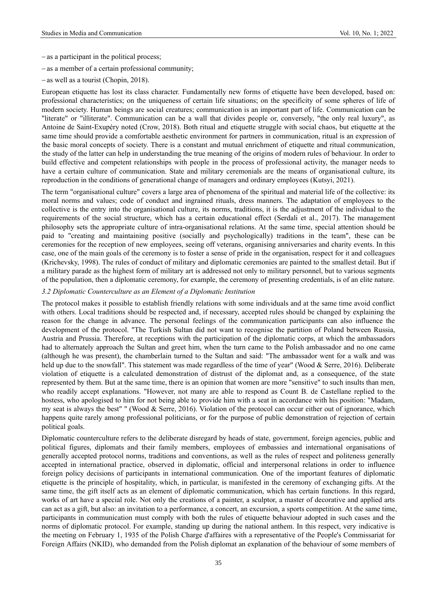- − as a participant in the political process;
- − as a member of a certain professional community;
- − as well as a tourist (Chopin, 2018).

European etiquette has lost its class character. Fundamentally new forms of etiquette have been developed, based on: professional characteristics; on the uniqueness of certain life situations; on the specificity of some spheres of life of modern society. Human beings are social creatures; communication is an important part of life. Communication can be "literate" or "illiterate". Communication can be a wall that divides people or, conversely, "the only real luxury", as Antoine de Saint-Exupéry noted (Crow, 2018). Both ritual and etiquette struggle with social chaos, but etiquette at the same time should provide a comfortable aesthetic environment for partners in communication, ritual is an expression of the basic moral concepts of society. There is a constant and mutual enrichment of etiquette and ritual communication, the study of the latter can help in understanding the true meaning of the origins of modern rules of behaviour. In order to build effective and competent relationships with people in the process of professional activity, the manager needs to have a certain culture of communication. State and military ceremonials are the means of organisational culture, its reproduction in the conditions of generational change of managers and ordinary employees (Kutsyi, 2021).

The term "organisational culture" covers a large area of phenomena of the spiritual and material life of the collective: its moral norms and values; code of conduct and ingrained rituals, dress manners. The adaptation of employees to the collective is the entry into the organisational culture, its norms, traditions, it is the adjustment of the individual to the requirements of the social structure, which has a certain educational effect (Serdali et al., 2017). The management philosophy sets the appropriate culture of intra-organisational relations. At the same time, special attention should be paid to "creating and maintaining positive (socially and psychologically) traditions in the team", these can be ceremonies for the reception of new employees, seeing off veterans, organising anniversaries and charity events. In this case, one of the main goals of the ceremony is to foster a sense of pride in the organisation, respect for it and colleagues (Krichevsky, 1998). The rules of conduct of military and diplomatic ceremonies are painted to the smallest detail. But if a military parade as the highest form of military art is addressed not only to military personnel, but to various segments of the population, then a diplomatic ceremony, for example, the ceremony of presenting credentials, is of an elite nature.

#### *3.2 Diplomatic Counterculture as an Element of a Diplomatic Institution*

The protocol makes it possible to establish friendly relations with some individuals and at the same time avoid conflict with others. Local traditions should be respected and, if necessary, accepted rules should be changed by explaining the reason for the change in advance. The personal feelings of the communication participants can also influence the development of the protocol. "The Turkish Sultan did not want to recognise the partition of Poland between Russia, Austria and Prussia. Therefore, at receptions with the participation of the diplomatic corps, at which the ambassadors had to alternately approach the Sultan and greet him, when the turn came to the Polish ambassador and no one came (although he was present), the chamberlain turned to the Sultan and said: "The ambassador went for a walk and was held up due to the snowfall". This statement was made regardless of the time of year" (Wood & Serre, 2016). Deliberate violation of etiquette is a calculated demonstration of distrust of the diplomat and, as a consequence, of the state represented by them. But at the same time, there is an opinion that women are more "sensitive" to such insults than men, who readily accept explanations. "However, not many are able to respond as Count B. de Castellane replied to the hostess, who apologised to him for not being able to provide him with a seat in accordance with his position: "Madam, my seat is always the best" " (Wood & Serre, 2016). Violation of the protocol can occur either out of ignorance, which happens quite rarely among professional politicians, or for the purpose of public demonstration of rejection of certain political goals.

Diplomatic counterculture refers to the deliberate disregard by heads of state, government, foreign agencies, public and political figures, diplomats and their family members, employees of embassies and international organisations of generally accepted protocol norms, traditions and conventions, as well as the rules of respect and politeness generally accepted in international practice, observed in diplomatic, official and interpersonal relations in order to influence foreign policy decisions of participants in international communication. One of the important features of diplomatic etiquette is the principle of hospitality, which, in particular, is manifested in the ceremony of exchanging gifts. At the same time, the gift itself acts as an element of diplomatic communication, which has certain functions. In this regard, works of art have a special role. Not only the creations of a painter, a sculptor, a master of decorative and applied arts can act as a gift, but also: an invitation to a performance, a concert, an excursion, a sports competition. At the same time, participants in communication must comply with both the rules of etiquette behaviour adopted in such cases and the norms of diplomatic protocol. For example, standing up during the national anthem. In this respect, very indicative is the meeting on February 1, 1935 of the Polish Charge d'affaires with a representative of the People's Commissariat for Foreign Affairs (NKID), who demanded from the Polish diplomat an explanation of the behaviour of some members of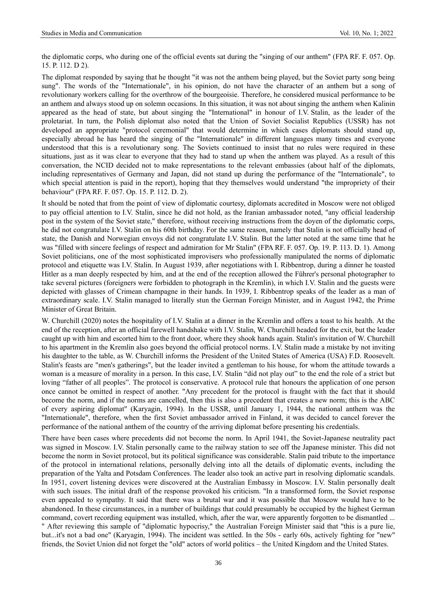the diplomatic corps, who during one of the official events sat during the "singing of our anthem" (FPA RF. F. 057. Op. 15. P. 112. D 2).

The diplomat responded by saying that he thought "it was not the anthem being played, but the Soviet party song being sung". The words of the "Internationale", in his opinion, do not have the character of an anthem but a song of revolutionary workers calling for the overthrow of the bourgeoisie. Therefore, he considered musical performance to be an anthem and always stood up on solemn occasions. In this situation, it was not about singing the anthem when Kalinin appeared as the head of state, but about singing the "International" in honour of I.V. Stalin, as the leader of the proletariat. In turn, the Polish diplomat also noted that the Union of Soviet Socialist Republics (USSR) has not developed an appropriate "protocol ceremonial" that would determine in which cases diplomats should stand up, especially abroad he has heard the singing of the "Internationale" in different languages many times and everyone understood that this is a revolutionary song. The Soviets continued to insist that no rules were required in these situations, just as it was clear to everyone that they had to stand up when the anthem was played. As a result of this conversation, the NCID decided not to make representations to the relevant embassies (about half of the diplomats, including representatives of Germany and Japan, did not stand up during the performance of the "Internationale", to which special attention is paid in the report), hoping that they themselves would understand "the impropriety of their behaviour" (FPA RF. F. 057. Op. 15. P. 112. D. 2).

It should be noted that from the point of view of diplomatic courtesy, diplomats accredited in Moscow were not obliged to pay official attention to I.V. Stalin, since he did not hold, as the Iranian ambassador noted, "any official leadership post in the system of the Soviet state," therefore, without receiving instructions from the doyen of the diplomatic corps, he did not congratulate I.V. Stalin on his 60th birthday. For the same reason, namely that Stalin is not officially head of state, the Danish and Norwegian envoys did not congratulate I.V. Stalin. But the latter noted at the same time that he was "filled with sincere feelings of respect and admiration for Mr Stalin" (FPA RF. F. 057. Op. 19. P. 113. D. 1). Among Soviet politicians, one of the most sophisticated improvisers who professionally manipulated the norms of diplomatic protocol and etiquette was I.V. Stalin. In August 1939, after negotiations with I. Ribbentrop, during a dinner he toasted Hitler as a man deeply respected by him, and at the end of the reception allowed the Führer's personal photographer to take several pictures (foreigners were forbidden to photograph in the Kremlin), in which I.V. Stalin and the guests were depicted with glasses of Crimean champagne in their hands. In 1939, I. Ribbentrop speaks of the leader as a man of extraordinary scale. I.V. Stalin managed to literally stun the German Foreign Minister, and in August 1942, the Prime Minister of Great Britain.

W. Churchill (2020) notes the hospitality of I.V. Stalin at a dinner in the Kremlin and offers a toast to his health. At the end of the reception, after an official farewell handshake with I.V. Stalin, W. Churchill headed for the exit, but the leader caught up with him and escorted him to the front door, where they shook hands again. Stalin's invitation of W. Churchill to his apartment in the Kremlin also goes beyond the official protocol norms. I.V. Stalin made a mistake by not inviting his daughter to the table, as W. Churchill informs the President of the United States of America (USA) F.D. Roosevelt. Stalin's feasts are "men's gatherings", but the leader invited a gentleman to his house, for whom the attitude towards a woman is a measure of morality in a person. In this case, I.V. Stalin "did not play out" to the end the role of a strict but loving "father of all peoples". The protocol is conservative. A protocol rule that honours the application of one person once cannot be omitted in respect of another. "Any precedent for the protocol is fraught with the fact that it should become the norm, and if the norms are cancelled, then this is also a precedent that creates a new norm; this is the ABC of every aspiring diplomat" (Karyagin, 1994). In the USSR, until January 1, 1944, the national anthem was the "Internationale", therefore, when the first Soviet ambassador arrived in Finland, it was decided to cancel forever the performance of the national anthem of the country of the arriving diplomat before presenting his credentials.

There have been cases where precedents did not become the norm. In April 1941, the Soviet-Japanese neutrality pact was signed in Moscow. I.V. Stalin personally came to the railway station to see off the Japanese minister. This did not become the norm in Soviet protocol, but its political significance was considerable. Stalin paid tribute to the importance of the protocol in international relations, personally delving into all the details of diplomatic events, including the preparation of the Yalta and Potsdam Conferences. The leader also took an active part in resolving diplomatic scandals. In 1951, covert listening devices were discovered at the Australian Embassy in Moscow. I.V. Stalin personally dealt with such issues. The initial draft of the response provoked his criticism. "In a transformed form, the Soviet response even appealed to sympathy. It said that there was a brutal war and it was possible that Moscow would have to be abandoned. In these circumstances, in a number of buildings that could presumably be occupied by the highest German command, covert recording equipment was installed, which, after the war, were apparently forgotten to be dismantled ... " After reviewing this sample of "diplomatic hypocrisy," the Australian Foreign Minister said that "this is a pure lie, but...it's not a bad one" (Karyagin, 1994). The incident was settled. In the 50s - early 60s, actively fighting for "new" friends, the Soviet Union did not forget the "old" actors of world politics – the United Kingdom and the United States.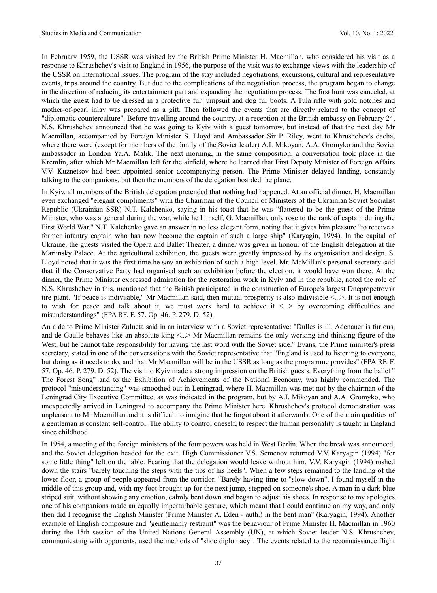In February 1959, the USSR was visited by the British Prime Minister H. Macmillan, who considered his visit as a response to Khrushchev's visit to England in 1956, the purpose of the visit was to exchange views with the leadership of the USSR on international issues. The program of the stay included negotiations, excursions, cultural and representative events, trips around the country. But due to the complications of the negotiation process, the program began to change in the direction of reducing its entertainment part and expanding the negotiation process. The first hunt was canceled, at which the guest had to be dressed in a protective fur jumpsuit and dog fur boots. A Tula rifle with gold notches and mother-of-pearl inlay was prepared as a gift. Then followed the events that are directly related to the concept of "diplomatic counterculture". Before travelling around the country, at a reception at the British embassy on February 24, N.S. Khrushchev announced that he was going to Kyiv with a guest tomorrow, but instead of that the next day Mr Macmillan, accompanied by Foreign Minister S. Lloyd and Ambassador Sir P. Riley, went to Khrushchev's dacha, where there were (except for members of the family of the Soviet leader) A.I. Mikoyan, A.A. Gromyko and the Soviet ambassador in London Ya.A. Malik. The next morning, in the same composition, a conversation took place in the Kremlin, after which Mr Macmillan left for the airfield, where he learned that First Deputy Minister of Foreign Affairs V.V. Kuznetsov had been appointed senior accompanying person. The Prime Minister delayed landing, constantly talking to the companions, but then the members of the delegation boarded the plane.

In Kyiv, all members of the British delegation pretended that nothing had happened. At an official dinner, H. Macmillan even exchanged "elegant compliments" with the Chairman of the Council of Ministers of the Ukrainian Soviet Socialist Republic (Ukrainian SSR) N.T. Kalchenko, saying in his toast that he was "flattered to be the guest of the Prime Minister, who was a general during the war, while he himself, G. Macmillan, only rose to the rank of captain during the First World War." N.T. Kalchenko gave an answer in no less elegant form, noting that it gives him pleasure "to receive a former infantry captain who has now become the captain of such a large ship" (Karyagin, 1994). In the capital of Ukraine, the guests visited the Opera and Ballet Theater, a dinner was given in honour of the English delegation at the Mariinsky Palace. At the agricultural exhibition, the guests were greatly impressed by its organisation and design. S. Lloyd noted that it was the first time he saw an exhibition of such a high level. Mr. McMillan's personal secretary said that if the Conservative Party had organised such an exhibition before the election, it would have won there. At the dinner, the Prime Minister expressed admiration for the restoration work in Kyiv and in the republic, noted the role of N.S. Khrushchev in this, mentioned that the British participated in the construction of Europe's largest Dnepropetrovsk tire plant. "If peace is indivisible," Mr Macmillan said, then mutual prosperity is also indivisible <...>. It is not enough to wish for peace and talk about it, we must work hard to achieve it  $\langle ... \rangle$  by overcoming difficulties and misunderstandings" (FPA RF. F. 57. Op. 46. P. 279. D. 52).

An aide to Prime Minister Zulueta said in an interview with a Soviet representative: "Dulles is ill, Adenauer is furious, and de Gaulle behaves like an absolute king <...> Mr Macmillan remains the only working and thinking figure of the West, but he cannot take responsibility for having the last word with the Soviet side." Evans, the Prime minister's press secretary, stated in one of the conversations with the Soviet representative that "England is used to listening to everyone, but doing as it needs to do, and that Mr Macmillan will be in the USSR as long as the programme provides" (FPA RF. F. 57. Op. 46. P. 279. D. 52). The visit to Kyiv made a strong impression on the British guests. Everything from the ballet " The Forest Song" and to the Exhibition of Achievements of the National Economy, was highly commended. The protocol "misunderstanding" was smoothed out in Leningrad, where H. Macmillan was met not by the chairman of the Leningrad City Executive Committee, as was indicated in the program, but by A.I. Mikoyan and A.A. Gromyko, who unexpectedly arrived in Leningrad to accompany the Prime Minister here. Khrushchev's protocol demonstration was unpleasant to Mr Macmillan and it is difficult to imagine that he forgot about it afterwards. One of the main qualities of a gentleman is constant self-control. The ability to control oneself, to respect the human personality is taught in England since childhood.

In 1954, a meeting of the foreign ministers of the four powers was held in West Berlin. When the break was announced, and the Soviet delegation headed for the exit. High Commissioner V.S. Semenov returned V.V. Karyagin (1994) "for some little thing" left on the table. Fearing that the delegation would leave without him, V.V. Karyagin (1994) rushed down the stairs "barely touching the steps with the tips of his heels". When a few steps remained to the landing of the lower floor, a group of people appeared from the corridor. "Barely having time to "slow down", I found myself in the middle of this group and, with my foot brought up for the next jump, stepped on someone's shoe. A man in a dark blue striped suit, without showing any emotion, calmly bent down and began to adjust his shoes. In response to my apologies, one of his companions made an equally imperturbable gesture, which meant that I could continue on my way, and only then did I recognise the English Minister (Prime Minister A. Eden - auth.) in the bent man" (Karyagin, 1994). Another example of English composure and "gentlemanly restraint" was the behaviour of Prime Minister H. Macmillan in 1960 during the 15th session of the United Nations General Assembly (UN), at which Soviet leader N.S. Khrushchev, communicating with opponents, used the methods of "shoe diplomacy". The events related to the reconnaissance flight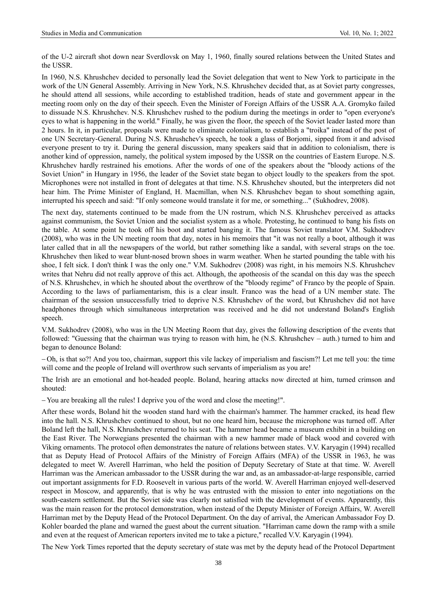of the U-2 aircraft shot down near Sverdlovsk on May 1, 1960, finally soured relations between the United States and the USSR.

In 1960, N.S. Khrushchev decided to personally lead the Soviet delegation that went to New York to participate in the work of the UN General Assembly. Arriving in New York, N.S. Khrushchev decided that, as at Soviet party congresses, he should attend all sessions, while according to established tradition, heads of state and government appear in the meeting room only on the day of their speech. Even the Minister of Foreign Affairs of the USSR A.A. Gromyko failed to dissuade N.S. Khrushchev. N.S. Khrushchev rushed to the podium during the meetings in order to "open everyone's eyes to what is happening in the world." Finally, he was given the floor, the speech of the Soviet leader lasted more than 2 hours. In it, in particular, proposals were made to eliminate colonialism, to establish a "troika" instead of the post of one UN Secretary-General. During N.S. Khrushchev's speech, he took a glass of Borjomi, sipped from it and advised everyone present to try it. During the general discussion, many speakers said that in addition to colonialism, there is another kind of oppression, namely, the political system imposed by the USSR on the countries of Eastern Europe. N.S. Khrushchev hardly restrained his emotions. After the words of one of the speakers about the "bloody actions of the Soviet Union" in Hungary in 1956, the leader of the Soviet state began to object loudly to the speakers from the spot. Microphones were not installed in front of delegates at that time. N.S. Khrushchev shouted, but the interpreters did not hear him. The Prime Minister of England, H. Macmillan, when N.S. Khrushchev began to shout something again, interrupted his speech and said: "If only someone would translate it for me, or something..." (Sukhodrev, 2008).

The next day, statements continued to be made from the UN rostrum, which N.S. Khrushchev perceived as attacks against communism, the Soviet Union and the socialist system as a whole. Protesting, he continued to bang his fists on the table. At some point he took off his boot and started banging it. The famous Soviet translator V.M. Sukhodrev (2008), who was in the UN meeting room that day, notes in his memoirs that "it was not really a boot, although it was later called that in all the newspapers of the world, but rather something like a sandal, with several straps on the toe. Khrushchev then liked to wear blunt-nosed brown shoes in warm weather. When he started pounding the table with his shoe, I felt sick. I don't think I was the only one." V.M. Sukhodrev (2008) was right, in his memoirs N.S. Khrushchev writes that Nehru did not really approve of this act. Although, the apotheosis of the scandal on this day was the speech of N.S. Khrushchev, in which he shouted about the overthrow of the "bloody regime" of Franco by the people of Spain. According to the laws of parliamentarism, this is a clear insult. Franco was the head of a UN member state. The chairman of the session unsuccessfully tried to deprive N.S. Khrushchev of the word, but Khrushchev did not have headphones through which simultaneous interpretation was received and he did not understand Boland's English speech.

V.M. Sukhodrev (2008), who was in the UN Meeting Room that day, gives the following description of the events that followed: "Guessing that the chairman was trying to reason with him, he (N.S. Khrushchev – auth.) turned to him and began to denounce Boland:

− Oh, is that so?! And you too, chairman, support this vile lackey of imperialism and fascism?! Let me tell you: the time will come and the people of Ireland will overthrow such servants of imperialism as you are!

The Irish are an emotional and hot-headed people. Boland, hearing attacks now directed at him, turned crimson and shouted:

− You are breaking all the rules! I deprive you of the word and close the meeting!".

After these words, Boland hit the wooden stand hard with the chairman's hammer. The hammer cracked, its head flew into the hall. N.S. Khrushchev continued to shout, but no one heard him, because the microphone was turned off. After Boland left the hall, N.S. Khrushchev returned to his seat. The hammer head became a museum exhibit in a building on the East River. The Norwegians presented the chairman with a new hammer made of black wood and covered with Viking ornaments. The protocol often demonstrates the nature of relations between states. V.V. Karyagin (1994) recalled that as Deputy Head of Protocol Affairs of the Ministry of Foreign Affairs (MFA) of the USSR in 1963, he was delegated to meet W. Averell Harriman, who held the position of Deputy Secretary of State at that time. W. Averell Harriman was the American ambassador to the USSR during the war and, as an ambassador-at-large responsible, carried out important assignments for F.D. Roosevelt in various parts of the world. W. Averell Harriman enjoyed well-deserved respect in Moscow, and apparently, that is why he was entrusted with the mission to enter into negotiations on the south-eastern settlement. But the Soviet side was clearly not satisfied with the development of events. Apparently, this was the main reason for the protocol demonstration, when instead of the Deputy Minister of Foreign Affairs, W. Averell Harriman met by the Deputy Head of the Protocol Department. On the day of arrival, the American Ambassador Foy D. Kohler boarded the plane and warned the guest about the current situation. "Harriman came down the ramp with a smile and even at the request of American reporters invited me to take a picture," recalled V.V. Karyagin (1994).

The New York Times reported that the deputy secretary of state was met by the deputy head of the Protocol Department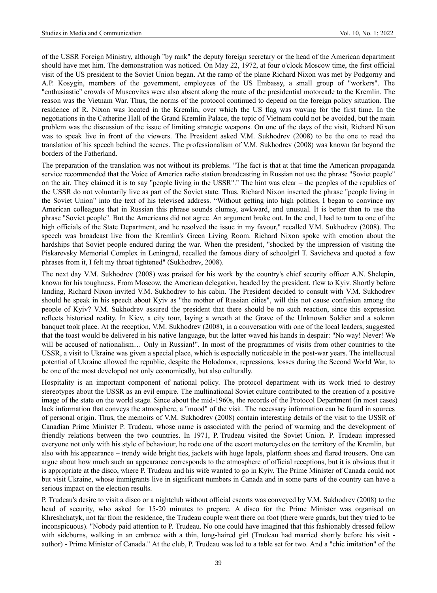of the USSR Foreign Ministry, although "by rank" the deputy foreign secretary or the head of the American department should have met him. The demonstration was noticed. On May 22, 1972, at four o'clock Moscow time, the first official visit of the US president to the Soviet Union began. At the ramp of the plane Richard Nixon was met by Podgorny and A.P. Kosygin, members of the government, employees of the US Embassy, a small group of "workers". The "enthusiastic" crowds of Muscovites were also absent along the route of the presidential motorcade to the Kremlin. The reason was the Vietnam War. Thus, the norms of the protocol continued to depend on the foreign policy situation. The residence of R. Nixon was located in the Kremlin, over which the US flag was waving for the first time. In the negotiations in the Catherine Hall of the Grand Kremlin Palace, the topic of Vietnam could not be avoided, but the main problem was the discussion of the issue of limiting strategic weapons. On one of the days of the visit, Richard Nixon was to speak live in front of the viewers. The President asked V.M. Sukhodrev (2008) to be the one to read the translation of his speech behind the scenes. The professionalism of V.M. Sukhodrev (2008) was known far beyond the borders of the Fatherland.

The preparation of the translation was not without its problems. "The fact is that at that time the American propaganda service recommended that the Voice of America radio station broadcasting in Russian not use the phrase "Soviet people" on the air. They claimed it is to say "people living in the USSR"." The hint was clear – the peoples of the republics of the USSR do not voluntarily live as part of the Soviet state. Thus, Richard Nixon inserted the phrase "people living in the Soviet Union" into the text of his televised address. "Without getting into high politics, I began to convince my American colleagues that in Russian this phrase sounds clumsy, awkward, and unusual. It is better then to use the phrase "Soviet people". But the Americans did not agree. An argument broke out. In the end, I had to turn to one of the high officials of the State Department, and he resolved the issue in my favour," recalled V.M. Sukhodrev (2008). The speech was broadcast live from the Kremlin's Green Living Room. Richard Nixon spoke with emotion about the hardships that Soviet people endured during the war. When the president, "shocked by the impression of visiting the Piskarevsky Memorial Complex in Leningrad, recalled the famous diary of schoolgirl T. Savicheva and quoted a few phrases from it, I felt my throat tightened" (Sukhodrev, 2008).

The next day V.M. Sukhodrev (2008) was praised for his work by the country's chief security officer A.N. Shelepin, known for his toughness. From Moscow, the American delegation, headed by the president, flew to Kyiv. Shortly before landing, Richard Nixon invited V.M. Sukhodrev to his cabin. The President decided to consult with V.M. Sukhodrev should he speak in his speech about Kyiv as "the mother of Russian cities", will this not cause confusion among the people of Kyiv? V.M. Sukhodrev assured the president that there should be no such reaction, since this expression reflects historical reality. In Kiev, a city tour, laying a wreath at the Grave of the Unknown Soldier and a solemn banquet took place. At the reception, V.M. Sukhodrev (2008), in a conversation with one of the local leaders, suggested that the toast would be delivered in his native language, but the latter waved his hands in despair: "No way! Never! We will be accused of nationalism... Only in Russian!". In most of the programmes of visits from other countries to the USSR, a visit to Ukraine was given a special place, which is especially noticeable in the post-war years. The intellectual potential of Ukraine allowed the republic, despite the Holodomor, repressions, losses during the Second World War, to be one of the most developed not only economically, but also culturally.

Hospitality is an important component of national policy. The protocol department with its work tried to destroy stereotypes about the USSR as an evil empire. The multinational Soviet culture contributed to the creation of a positive image of the state on the world stage. Since about the mid-1960s, the records of the Protocol Department (in most cases) lack information that conveys the atmosphere, a "mood" of the visit. The necessary information can be found in sources of personal origin. Thus, the memoirs of V.M. Sukhodrev (2008) contain interesting details of the visit to the USSR of Canadian Prime Minister P. Trudeau, whose name is associated with the period of warming and the development of friendly relations between the two countries. In 1971, P. Trudeau visited the Soviet Union. P. Trudeau impressed everyone not only with his style of behaviour, he rode one of the escort motorcycles on the territory of the Kremlin, but also with his appearance – trendy wide bright ties, jackets with huge lapels, platform shoes and flared trousers. One can argue about how much such an appearance corresponds to the atmosphere of official receptions, but it is obvious that it is appropriate at the disco, where P. Trudeau and his wife wanted to go in Kyiv. The Prime Minister of Canada could not but visit Ukraine, whose immigrants live in significant numbers in Canada and in some parts of the country can have a serious impact on the election results.

P. Trudeau's desire to visit a disco or a nightclub without official escorts was conveyed by V.M. Sukhodrev (2008) to the head of security, who asked for 15-20 minutes to prepare. A disco for the Prime Minister was organised on Khreshchatyk, not far from the residence, the Trudeau couple went there on foot (there were guards, but they tried to be inconspicuous). "Nobody paid attention to P. Trudeau. No one could have imagined that this fashionably dressed fellow with sideburns, walking in an embrace with a thin, long-haired girl (Trudeau had married shortly before his visit author) - Prime Minister of Canada." At the club, P. Trudeau was led to a table set for two. And a "chic imitation" of the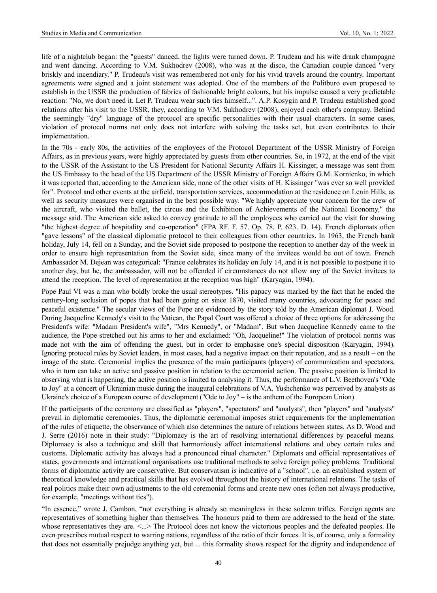life of a nightclub began: the "guests" danced, the lights were turned down. P. Trudeau and his wife drank champagne and went dancing. According to V.M. Sukhodrev (2008), who was at the disco, the Canadian couple danced "very briskly and incendiary." P. Trudeau's visit was remembered not only for his vivid travels around the country. Important agreements were signed and a joint statement was adopted. One of the members of the Politburo even proposed to establish in the USSR the production of fabrics of fashionable bright colours, but his impulse caused a very predictable reaction: "No, we don't need it. Let P. Trudeau wear such ties himself...". A.P. Kosygin and P. Trudeau established good relations after his visit to the USSR, they, according to V.M. Sukhodrev (2008), enjoyed each other's company. Behind the seemingly "dry" language of the protocol are specific personalities with their usual characters. In some cases, violation of protocol norms not only does not interfere with solving the tasks set, but even contributes to their implementation.

In the 70s - early 80s, the activities of the employees of the Protocol Department of the USSR Ministry of Foreign Affairs, as in previous years, were highly appreciated by guests from other countries. So, in 1972, at the end of the visit to the USSR of the Assistant to the US President for National Security Affairs H. Kissinger, a message was sent from the US Embassy to the head of the US Department of the USSR Ministry of Foreign Affairs G.M. Kornienko, in which it was reported that, according to the American side, none of the other visits of H. Kissinger "was ever so well provided for". Protocol and other events at the airfield, transportation services, accommodation at the residence on Lenin Hills, as well as security measures were organised in the best possible way. "We highly appreciate your concern for the crew of the aircraft, who visited the ballet, the circus and the Exhibition of Achievements of the National Economy," the message said. The American side asked to convey gratitude to all the employees who carried out the visit for showing "the highest degree of hospitality and co-operation" (FPA RF. F. 57. Op. 78. P. 623. D. 14). French diplomats often "gave lessons" of the classical diplomatic protocol to their colleagues from other countries. In 1963, the French bank holiday, July 14, fell on a Sunday, and the Soviet side proposed to postpone the reception to another day of the week in order to ensure high representation from the Soviet side, since many of the invitees would be out of town. French Ambassador M. Dejean was categorical: "France celebrates its holiday on July 14, and it is not possible to postpone it to another day, but he, the ambassador, will not be offended if circumstances do not allow any of the Soviet invitees to attend the reception. The level of representation at the reception was high" (Karyagin, 1994).

Pope Paul VI was a man who boldly broke the usual stereotypes. "His papacy was marked by the fact that he ended the century-long seclusion of popes that had been going on since 1870, visited many countries, advocating for peace and peaceful existence." The secular views of the Pope are evidenced by the story told by the American diplomat J. Wood. During Jacqueline Kennedy's visit to the Vatican, the Papal Court was offered a choice of three options for addressing the President's wife: "Madam President's wife", "Mrs Kennedy", or "Madam". But when Jacqueline Kennedy came to the audience, the Pope stretched out his arms to her and exclaimed: "Oh, Jacqueline!" The violation of protocol norms was made not with the aim of offending the guest, but in order to emphasise one's special disposition (Karyagin, 1994). Ignoring protocol rules by Soviet leaders, in most cases, had a negative impact on their reputation, and as a result – on the image of the state. Ceremonial implies the presence of the main participants (players) of communication and spectators, who in turn can take an active and passive position in relation to the ceremonial action. The passive position is limited to observing what is happening, the active position is limited to analysing it. Thus, the performance of L.V. Beethoven's "Ode to Joy" at a concert of Ukrainian music during the inaugural celebrations of V.A. Yushchenko was perceived by analysts as Ukraine's choice of a European course of development ("Ode to Joy" – is the anthem of the European Union).

If the participants of the ceremony are classified as "players", "spectators" and "analysts", then "players" and "analysts" prevail in diplomatic ceremonies. Thus, the diplomatic ceremonial imposes strict requirements for the implementation of the rules of etiquette, the observance of which also determines the nature of relations between states. As D. Wood and J. Serre (2016) note in their study: "Diplomacy is the art of resolving international differences by peaceful means. Diplomacy is also a technique and skill that harmoniously affect international relations and obey certain rules and customs. Diplomatic activity has always had a pronounced ritual character." Diplomats and official representatives of states, governments and international organisations use traditional methods to solve foreign policy problems. Traditional forms of diplomatic activity are conservative. But conservatism is indicative of a "school", i.e. an established system of theoretical knowledge and practical skills that has evolved throughout the history of international relations. The tasks of real politics make their own adjustments to the old ceremonial forms and create new ones (often not always productive, for example, "meetings without ties").

"In essence," wrote J. Cambon, "not everything is already so meaningless in these solemn trifles. Foreign agents are representatives of something higher than themselves. The honours paid to them are addressed to the head of the state, whose representatives they are.  $\leq$ ...> The Protocol does not know the victorious peoples and the defeated peoples. He even prescribes mutual respect to warring nations, regardless of the ratio of their forces. It is, of course, only a formality that does not essentially prejudge anything yet, but ... this formality shows respect for the dignity and independence of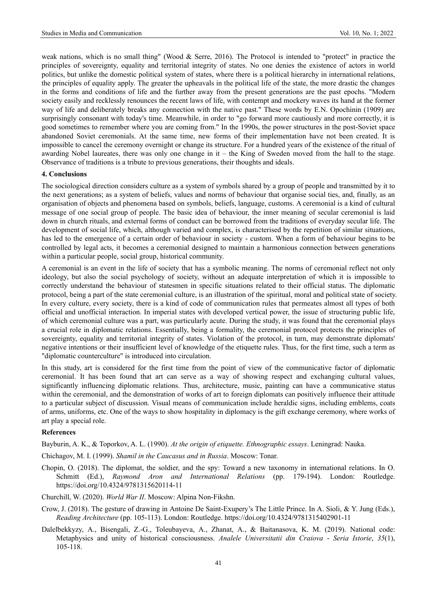weak nations, which is no small thing" (Wood & Serre, 2016). The Protocol is intended to "protect" in practice the principles of sovereignty, equality and territorial integrity of states. No one denies the existence of actors in world politics, but unlike the domestic political system of states, where there is a political hierarchy in international relations, the principles of equality apply. The greater the upheavals in the political life of the state, the more drastic the changes in the forms and conditions of life and the further away from the present generations are the past epochs. "Modern society easily and recklessly renounces the recent laws of life, with contempt and mockery waves its hand at the former way of life and deliberately breaks any connection with the native past." These words by E.N. Opochinin (1909) are surprisingly consonant with today's time. Meanwhile, in order to "go forward more cautiously and more correctly, it is good sometimes to remember where you are coming from." In the 1990s, the power structures in the post-Soviet space abandoned Soviet ceremonials. At the same time, new forms of their implementation have not been created. It is impossible to cancel the ceremony overnight or change its structure. For a hundred years of the existence of the ritual of awarding Nobel laureates, there was only one change in it – the King of Sweden moved from the hall to the stage. Observance of traditions is a tribute to previous generations, their thoughts and ideals.

#### **4. Conclusions**

The sociological direction considers culture as a system of symbols shared by a group of people and transmitted by it to the next generations; as a system of beliefs, values and norms of behaviour that organise social ties, and, finally, as an organisation of objects and phenomena based on symbols, beliefs, language, customs. A ceremonial is a kind of cultural message of one social group of people. The basic idea of behaviour, the inner meaning of secular ceremonial is laid down in church rituals, and external forms of conduct can be borrowed from the traditions of everyday secular life. The development of social life, which, although varied and complex, is characterised by the repetition of similar situations, has led to the emergence of a certain order of behaviour in society - custom. When a form of behaviour begins to be controlled by legal acts, it becomes a ceremonial designed to maintain a harmonious connection between generations within a particular people, social group, historical community.

A ceremonial is an event in the life of society that has a symbolic meaning. The norms of ceremonial reflect not only ideology, but also the social psychology of society, without an adequate interpretation of which it is impossible to correctly understand the behaviour of statesmen in specific situations related to their official status. The diplomatic protocol, being a part of the state ceremonial culture, is an illustration of the spiritual, moral and political state of society. In every culture, every society, there is a kind of code of communication rules that permeates almost all types of both official and unofficial interaction. In imperial states with developed vertical power, the issue of structuring public life, of which ceremonial culture was a part, was particularly acute. During the study, it was found that the ceremonial plays a crucial role in diplomatic relations. Essentially, being a formality, the ceremonial protocol protects the principles of sovereignty, equality and territorial integrity of states. Violation of the protocol, in turn, may demonstrate diplomats' negative intentions or their insufficient level of knowledge of the etiquette rules. Thus, for the first time, such a term as "diplomatic counterculture" is introduced into circulation.

In this study, art is considered for the first time from the point of view of the communicative factor of diplomatic ceremonial. It has been found that art can serve as a way of showing respect and exchanging cultural values, significantly influencing diplomatic relations. Thus, architecture, music, painting can have a communicative status within the ceremonial, and the demonstration of works of art to foreign diplomats can positively influence their attitude to a particular subject of discussion. Visual means of communication include heraldic signs, including emblems, coats of arms, uniforms, etc. One of the ways to show hospitality in diplomacy is the gift exchange ceremony, where works of art play a special role.

## **References**

Bayburin, A. K., & Toporkov, A. L. (1990). *At the origin of etiquette. Ethnographic essays*. Leningrad: Nauka.

- Chichagov, M. I. (1999). *Shamil in the Caucasus and in Russia*. Moscow: Tonar.
- Chopin, O. (2018). The diplomat, the soldier, and the spy: Toward a new taxonomy in international relations. In O. Schmitt (Ed.), *Raymond Aron and International Relations* (pp. 179-194). London: Routledge. <https://doi.org/10.4324/9781315620114-11>
- Churchill, W. (2020). *World War II*. Moscow: Alpina Non-Fikshn.
- Crow, J. (2018). The gesture of drawing in Antoine De Saint-Exupery's The Little Prince. In A. Sioli, & Y. Jung (Eds.), *Reading Architecture* (pp. 105-113). London: Routledge. https://doi.org/10.4324/9781315402901-11
- Dalelbekkyzy, A., Bisengali, Z.-G., Toleubayeva, A., Zhanat, A., & Baitanasova, K. M. (2019). National code: Metaphysics and unity of historical consciousness. *Analele Universitatii din Craiova - Seria Istorie*, *35*(1), 105-118.